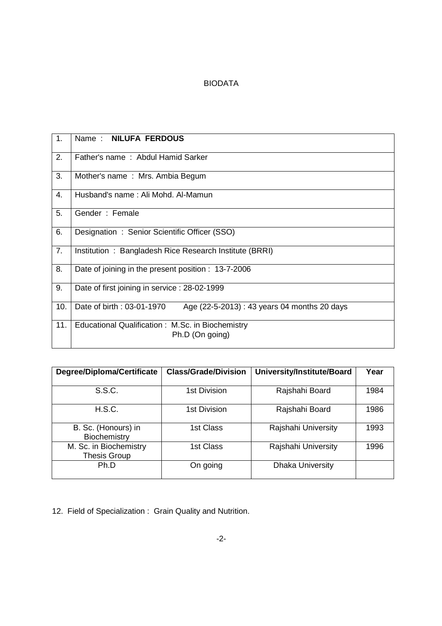### BIODATA

| 1.  | Name: NILUFA FERDOUS                                                      |
|-----|---------------------------------------------------------------------------|
| 2.  | Father's name: Abdul Hamid Sarker                                         |
| 3.  | Mother's name: Mrs. Ambia Begum                                           |
| 4.  | Husband's name: Ali Mohd, Al-Mamun                                        |
| 5.  | Gender: Female                                                            |
| 6.  | Designation: Senior Scientific Officer (SSO)                              |
| 7.  | Institution : Bangladesh Rice Research Institute (BRRI)                   |
| 8.  | Date of joining in the present position : 13-7-2006                       |
| 9.  | Date of first joining in service : 28-02-1999                             |
| 10. | Date of birth: 03-01-1970<br>Age (22-5-2013) : 43 years 04 months 20 days |
| 11. | Educational Qualification: M.Sc. in Biochemistry<br>Ph.D (On going)       |

| Degree/Diploma/Certificate                    | <b>Class/Grade/Division</b> | University/Institute/Board | Year |
|-----------------------------------------------|-----------------------------|----------------------------|------|
| S.S.C.                                        | 1st Division                | Rajshahi Board             | 1984 |
| H.S.C.                                        | 1st Division                | Rajshahi Board             | 1986 |
| B. Sc. (Honours) in<br>Biochemistry           | 1st Class                   | Rajshahi University        | 1993 |
| M. Sc. in Biochemistry<br><b>Thesis Group</b> | 1st Class                   | Rajshahi University        | 1996 |
| Ph.D                                          | On going                    | <b>Dhaka University</b>    |      |

12. Field of Specialization : Grain Quality and Nutrition.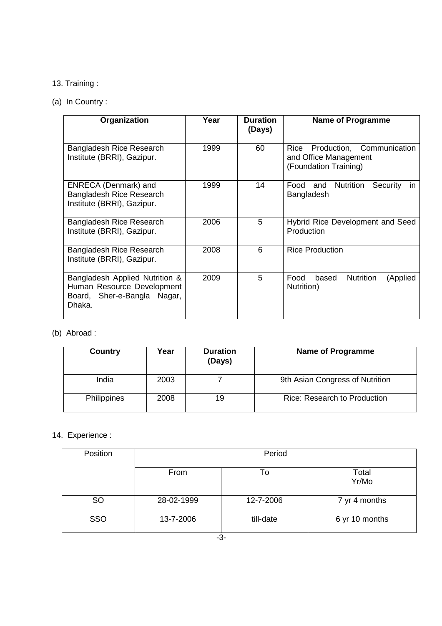# 13. Training :

## (a) In Country :

| Organization                                                                                             | Year | <b>Duration</b><br>(Days) | <b>Name of Programme</b>                                                            |
|----------------------------------------------------------------------------------------------------------|------|---------------------------|-------------------------------------------------------------------------------------|
| Bangladesh Rice Research<br>Institute (BRRI), Gazipur.                                                   | 1999 | 60                        | Production, Communication<br>Rice<br>and Office Management<br>(Foundation Training) |
| <b>ENRECA (Denmark) and</b><br>Bangladesh Rice Research<br>Institute (BRRI), Gazipur.                    | 1999 | 14                        | Food<br><b>Nutrition</b><br>and<br>Security<br>in.<br>Bangladesh                    |
| Bangladesh Rice Research<br>Institute (BRRI), Gazipur.                                                   | 2006 | 5                         | <b>Hybrid Rice Development and Seed</b><br>Production                               |
| Bangladesh Rice Research<br>Institute (BRRI), Gazipur.                                                   | 2008 | 6                         | <b>Rice Production</b>                                                              |
| Bangladesh Applied Nutrition &<br>Human Resource Development<br>Board, Sher-e-Bangla<br>Nagar,<br>Dhaka. | 2009 | 5                         | <b>Nutrition</b><br>Food<br>based<br>(Applied<br>Nutrition)                         |

# (b) Abroad :

| Country     | Year | <b>Duration</b><br>(Days) | <b>Name of Programme</b>            |
|-------------|------|---------------------------|-------------------------------------|
| India       | 2003 |                           | 9th Asian Congress of Nutrition     |
| Philippines | 2008 | 19                        | <b>Rice: Research to Production</b> |

## 14. Experience :

| Position   | Period     |           |                |  |
|------------|------------|-----------|----------------|--|
|            | From       | To        | Total<br>Yr/Mo |  |
| <b>SO</b>  | 28-02-1999 | 12-7-2006 | 7 yr 4 months  |  |
| <b>SSO</b> | 13-7-2006  | till-date | 6 yr 10 months |  |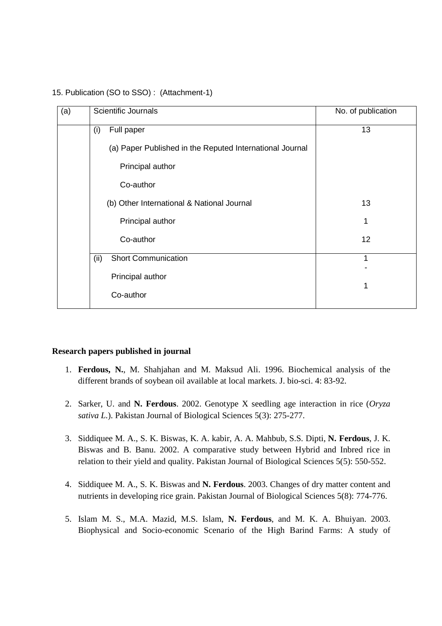| (a) | Scientific Journals                                      | No. of publication |
|-----|----------------------------------------------------------|--------------------|
|     | Full paper<br>(i)                                        | 13                 |
|     | (a) Paper Published in the Reputed International Journal |                    |
|     | Principal author                                         |                    |
|     | Co-author                                                |                    |
|     | (b) Other International & National Journal               | 13                 |
|     | Principal author                                         | 1                  |
|     | Co-author                                                | 12                 |
|     | <b>Short Communication</b><br>(ii)                       | 1                  |
|     | Principal author                                         |                    |
|     | Co-author                                                | 1                  |

#### 15. Publication (SO to SSO) : (Attachment-1)

#### **Research papers published in journal**

- 1. **Ferdous, N.**, M. Shahjahan and M. Maksud Ali. 1996. Biochemical analysis of the different brands of soybean oil available at local markets. J. bio-sci. 4: 83-92.
- 2. Sarker, U. and **N. Ferdous**. 2002. Genotype X seedling age interaction in rice (*Oryza sativa L.*). Pakistan Journal of Biological Sciences 5(3): 275-277.
- 3. Siddiquee M. A., S. K. Biswas, K. A. kabir, A. A. Mahbub, S.S. Dipti, **N. Ferdous**, J. K. Biswas and B. Banu. 2002. A comparative study between Hybrid and Inbred rice in relation to their yield and quality. Pakistan Journal of Biological Sciences 5(5): 550-552.
- 4. Siddiquee M. A., S. K. Biswas and **N. Ferdous**. 2003. Changes of dry matter content and nutrients in developing rice grain. Pakistan Journal of Biological Sciences 5(8): 774-776.
- 5. Islam M. S., M.A. Mazid, M.S. Islam, **N. Ferdous**, and M. K. A. Bhuiyan. 2003. Biophysical and Socio-economic Scenario of the High Barind Farms: A study of